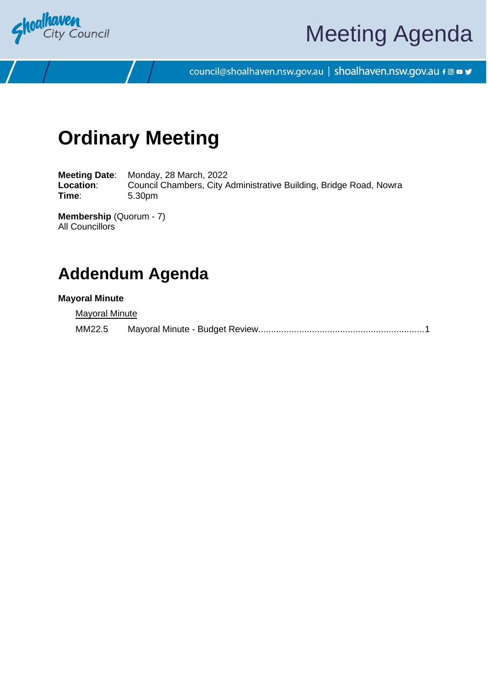

# Meeting Agenda

council@shoalhaven.nsw.gov.au | shoalhaven.nsw.gov.au f @ ■ y

## **Ordinary Meeting**

**Meeting Date**: Monday, 28 March, 2022 Location: Council Chambers, City Administrative Building, Bridge Road, Nowra **Time**: 5.30pm

**Membership** (Quorum - 7) All Councillors

### **Addendum Agenda**

#### **Mayoral Minute**

**Mayoral Minute** 

MM22.5 Mayoral Minute - Budget Review................................................................[.1](#page-1-0)